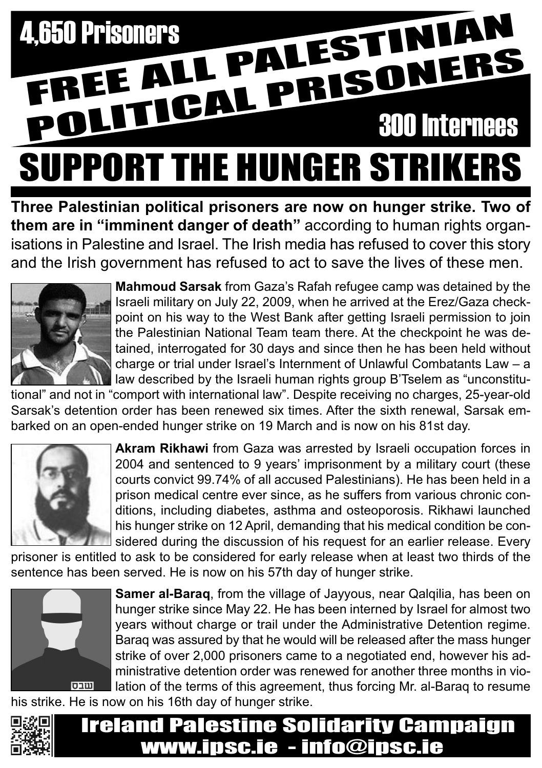

**Three Palestinian political prisoners are now on hunger strike. Two of them are in "imminent danger of death"** according to human rights organisations in Palestine and Israel. The Irish media has refused to cover this story and the Irish government has refused to act to save the lives of these men.



**Mahmoud Sarsak** from Gaza's Rafah refugee camp was detained by the Israeli military on July 22, 2009, when he arrived at the Erez/Gaza checkpoint on his way to the West Bank after getting Israeli permission to join the Palestinian National Team team there. At the checkpoint he was detained, interrogated for 30 days and since then he has been held without charge or trial under Israel's Internment of Unlawful Combatants Law – a law described by the Israeli human rights group B'Tselem as "unconstitu-

tional" and not in "comport with international law". Despite receiving no charges, 25-year-old Sarsak's detention order has been renewed six times. After the sixth renewal, Sarsak embarked on an open-ended hunger strike on 19 March and is now on his 81st day.



**Akram Rikhawi** from Gaza was arrested by Israeli occupation forces in 2004 and sentenced to 9 years' imprisonment by a military court (these courts convict 99.74% of all accused Palestinians). He has been held in a prison medical centre ever since, as he suffers from various chronic conditions, including diabetes, asthma and osteoporosis. Rikhawi launched his hunger strike on 12 April, demanding that his medical condition be considered during the discussion of his request for an earlier release. Every

prisoner is entitled to ask to be considered for early release when at least two thirds of the sentence has been served. He is now on his 57th day of hunger strike.



**Samer al-Baraq**, from the village of Jayyous, near Qalqilia, has been on hunger strike since May 22. He has been interned by Israel for almost two years without charge or trail under the Administrative Detention regime. Baraq was assured by that he would will be released after the mass hunger strike of over 2,000 prisoners came to a negotiated end, however his administrative detention order was renewed for another three months in violation of the terms of this agreement, thus forcing Mr. al-Baraq to resume

his strike. He is now on his 16th day of hunger strike.



### Ireland Palestine Solidarity Campaign www.ipsc.ie - info@ipsc.ie